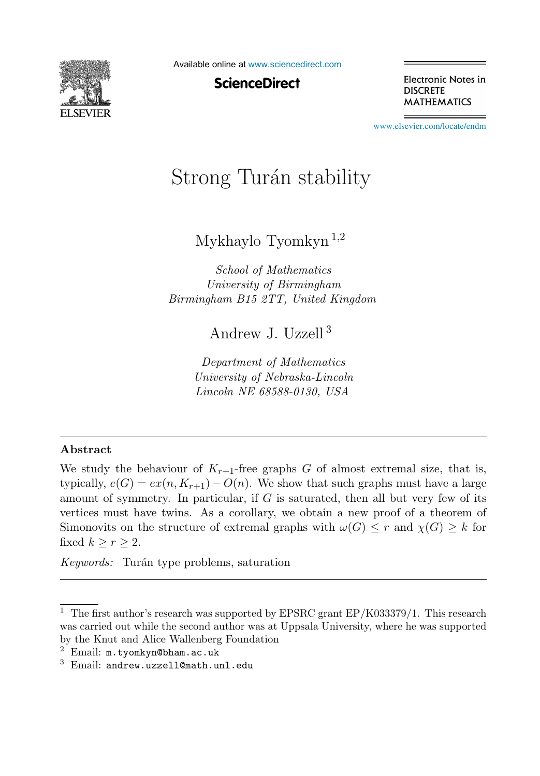

Available online at [www.sciencedirect.com](http://www.sciencedirect.com)

**ScienceDirect** 

Electronic Notes in **DISCRETE MATHEMATICS** 

[www.elsevier.com/locate/endm](http://www.elsevier.com/locate/endm)

# Strong Tur´an stability

Mykhaylo Tyomkyn <sup>1</sup>,<sup>2</sup>

*School of Mathematics University of Birmingham Birmingham B15 2TT, United Kingdom*

Andrew J. Uzzell <sup>3</sup>

*Department of Mathematics University of Nebraska-Lincoln Lincoln NE 68588-0130, USA*

## **Abstract**

We study the behaviour of  $K_{r+1}$ -free graphs G of almost extremal size, that is, typically,  $e(G) = ex(n, K_{r+1}) - O(n)$ . We show that such graphs must have a large amount of symmetry. In particular, if  $G$  is saturated, then all but very few of its vertices must have twins. As a corollary, we obtain a new proof of a theorem of Simonovits on the structure of extremal graphs with  $\omega(G) \leq r$  and  $\chi(G) \geq k$  for fixed  $k \geq r \geq 2$ .

*Keywords:* Turán type problems, saturation

<sup>&</sup>lt;sup>1</sup> The first author's research was supported by EPSRC grant EP/K033379/1. This research was carried out while the second author was at Uppsala University, where he was supported by the Knut and Alice Wallenberg Foundation

 $2$  Email:  $m.tyomkyn@bham.ac.uk$ 

 $3$  Email: andrew.uzzell@math.unl.edu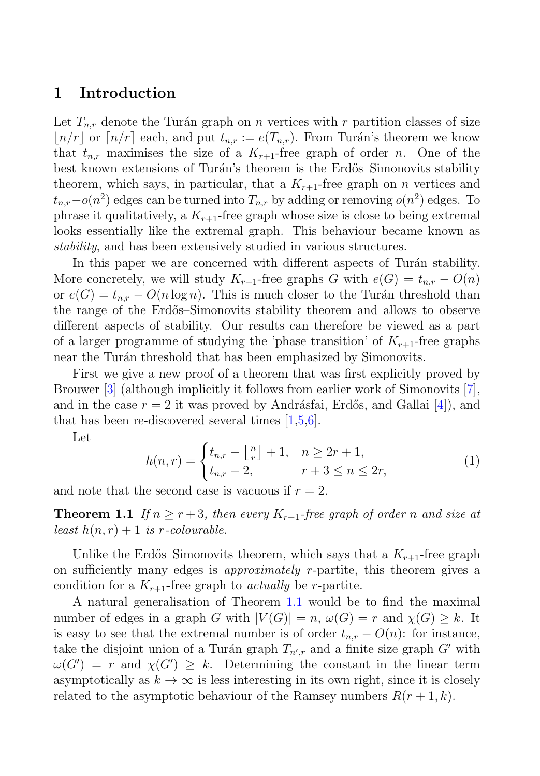## **1 Introduction**

Let  $T_{n,r}$  denote the Turán graph on n vertices with r partition classes of size  $n/r$  or  $n/r$  each, and put  $t_{n,r} := e(T_{n,r})$ . From Turán's theorem we know that  $t_{n,r}$  maximises the size of a  $K_{r+1}$ -free graph of order n. One of the best known extensions of Turán's theorem is the Erdős–Simonovits stability theorem, which says, in particular, that a  $K_{r+1}$ -free graph on *n* vertices and  $t_{n,r}$ −o(n<sup>2</sup>) edges can be turned into  $T_{n,r}$  by adding or removing o(n<sup>2</sup>) edges. To phrase it qualitatively, a  $K_{r+1}$ -free graph whose size is close to being extremal looks essentially like the extremal graph. This behaviour became known as stability, and has been extensively studied in various structures.

In this paper we are concerned with different aspects of Turán stability. More concretely, we will study  $K_{r+1}$ -free graphs G with  $e(G) = t_{n,r} - O(n)$ or  $e(G) = t_{n,r} - O(n \log n)$ . This is much closer to the Turán threshold than the range of the Erd˝os–Simonovits stability theorem and allows to observe different aspects of stability. Our results can therefore be viewed as a part of a larger programme of studying the 'phase transition' of  $K_{r+1}$ -free graphs near the Turán threshold that has been emphasized by Simonovits.

First we give a new proof of a theorem that was first explicitly proved by Brouwer [3] (although implicitly it follows from earlier work of Simonovits [7], and in the case  $r = 2$  it was proved by Andrásfai, Erdős, and Gallai [4], and that has been re-discovered several times  $|1,5,6|$ .

Let

$$
h(n,r) = \begin{cases} t_{n,r} - \left\lfloor \frac{n}{r} \right\rfloor + 1, & n \ge 2r + 1, \\ t_{n,r} - 2, & r + 3 \le n \le 2r, \end{cases}
$$
(1)

and note that the second case is vacuous if  $r = 2$ .

**Theorem 1.1** If  $n > r+3$ , then every  $K_{r+1}$ -free graph of order n and size at least  $h(n,r)+1$  is r-colourable.

Unlike the Erdős–Simonovits theorem, which says that a  $K_{r+1}$ -free graph on sufficiently many edges is approximately r-partite, this theorem gives a condition for a  $K_{r+1}$ -free graph to *actually* be *r*-partite.

A natural generalisation of Theorem 1.1 would be to find the maximal number of edges in a graph G with  $|V(G)| = n$ ,  $\omega(G) = r$  and  $\chi(G) \geq k$ . It is easy to see that the extremal number is of order  $t_{n,r} - O(n)$ : for instance, take the disjoint union of a Turán graph  $T_{n',r}$  and a finite size graph  $G'$  with  $\omega(G') = r$  and  $\chi(G') \ge k$ . Determining the constant in the linear term  $\omega(G') = r$  and  $\chi(G') \geq k$ . Determining the constant in the linear term<br>assumptotically as  $k \to \infty$  is less interesting in its own right, since it is closely asymptotically as  $k \to \infty$  is less interesting in its own right, since it is closely related to the asymptotic behaviour of the Ramsey numbers  $R(r+1, k)$ .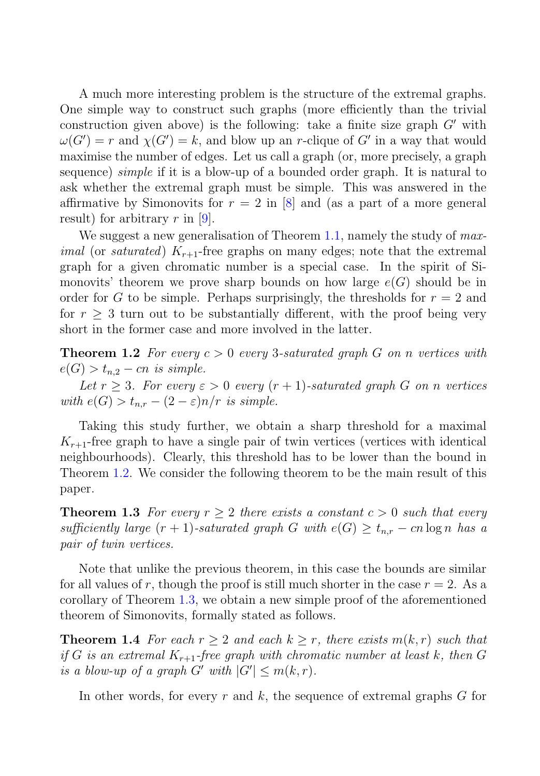A much more interesting problem is the structure of the extremal graphs. One simple way to construct such graphs (more efficiently than the trivial construction given above) is the following: take a finite size graph  $G'$  with  $\omega(G') = r$  and  $\chi(G') = k$  and blow up an r-clique of  $G'$  in a way that would  $\omega(G') = r$  and  $\chi(G') = k$ , and blow up an r-clique of G' in a way that would<br>maximise the number of edges. Let us call a graph (or, more precisely a graph maximise the number of edges. Let us call a graph (or, more precisely, a graph sequence) *simple* if it is a blow-up of a bounded order graph. It is natural to ask whether the extremal graph must be simple. This was answered in the affirmative by Simonovits for  $r = 2$  in [8] and (as a part of a more general result) for arbitrary  $r$  in [9].

We suggest a new generalisation of Theorem 1.1, namely the study of max*imal* (or *saturated*)  $K_{r+1}$ -free graphs on many edges; note that the extremal graph for a given chromatic number is a special case. In the spirit of Simonovits' theorem we prove sharp bounds on how large  $e(G)$  should be in order for G to be simple. Perhaps surprisingly, the thresholds for  $r = 2$  and for  $r \geq 3$  turn out to be substantially different, with the proof being very short in the former case and more involved in the latter.

**Theorem 1.2** For every  $c > 0$  every 3-saturated graph G on n vertices with  $e(G) > t_{n,2} - cn$  is simple.

Let  $r \geq 3$ . For every  $\varepsilon > 0$  every  $(r + 1)$ -saturated graph G on n vertices with  $e(G) > t_{n,r} - (2 - \varepsilon)n/r$  is simple.

Taking this study further, we obtain a sharp threshold for a maximal  $K_{r+1}$ -free graph to have a single pair of twin vertices (vertices with identical neighbourhoods). Clearly, this threshold has to be lower than the bound in Theorem 1.2. We consider the following theorem to be the main result of this paper.

**Theorem 1.3** For every  $r \geq 2$  there exists a constant  $c > 0$  such that every sufficiently large  $(r + 1)$ -saturated graph G with  $e(G) \ge t_{n,r} - cn \log n$  has a pair of twin vertices.

Note that unlike the previous theorem, in this case the bounds are similar for all values of r, though the proof is still much shorter in the case  $r = 2$ . As a corollary of Theorem 1.3, we obtain a new simple proof of the aforementioned theorem of Simonovits, formally stated as follows.

**Theorem 1.4** For each  $r \geq 2$  and each  $k \geq r$ , there exists  $m(k,r)$  such that if G is an extremal  $K_{r+1}$ -free graph with chromatic number at least k, then G is a blow-up of a graph  $G'$  with  $|G'| \le m(k,r)$ .

In other words, for every  $r$  and  $k$ , the sequence of extremal graphs  $G$  for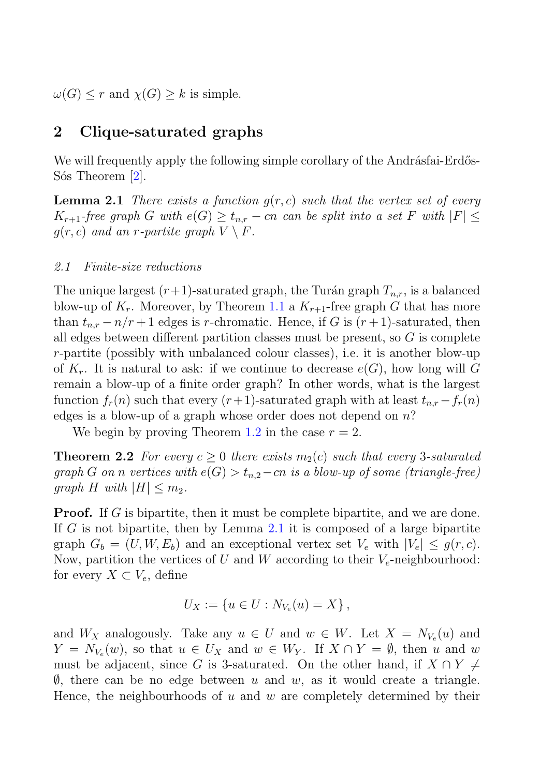$\omega(G) \leq r$  and  $\chi(G) \geq k$  is simple.

# **2 Clique-saturated graphs**

We will frequently apply the following simple corollary of the Andrásfai-Erdős-Sós Theorem [2].

**Lemma 2.1** There exists a function  $q(r, c)$  such that the vertex set of every  $K_{r+1}$ -free graph G with  $e(G) \geq t_{n,r} - cn$  can be split into a set F with  $|F| \leq$  $g(r, c)$  and an r-partite graph  $V \setminus F$ .

### 2.1 Finite-size reductions

The unique largest  $(r+1)$ -saturated graph, the Turán graph  $T_{n,r}$ , is a balanced blow-up of  $K_r$ . Moreover, by Theorem 1.1 a  $K_{r+1}$ -free graph G that has more than  $t_{n,r} - n/r + 1$  edges is r-chromatic. Hence, if G is  $(r+1)$ -saturated, then all edges between different partition classes must be present, so  $G$  is complete r-partite (possibly with unbalanced colour classes), i.e. it is another blow-up of  $K_r$ . It is natural to ask: if we continue to decrease  $e(G)$ , how long will G remain a blow-up of a finite order graph? In other words, what is the largest function  $f_r(n)$  such that every  $(r+1)$ -saturated graph with at least  $t_{n,r}-f_r(n)$ edges is a blow-up of a graph whose order does not depend on  $n$ ?

We begin by proving Theorem 1.2 in the case  $r = 2$ .

**Theorem 2.2** For every  $c \geq 0$  there exists  $m_2(c)$  such that every 3-saturated graph G on n vertices with  $e(G) > t_{n,2}-cn$  is a blow-up of some (triangle-free) graph H with  $|H| \leq m_2$ .

**Proof.** If G is bipartite, then it must be complete bipartite, and we are done. If G is not bipartite, then by Lemma 2.1 it is composed of a large bipartite graph  $G_b = (U, W, E_b)$  and an exceptional vertex set  $V_e$  with  $|V_e| \leq g(r, c)$ . Now, partition the vertices of U and W according to their  $V_e$ -neighbourhood: for every  $X \subset V_e$ , define

$$
U_X := \{ u \in U : N_{V_e}(u) = X \},
$$

and  $W_X$  analogously. Take any  $u \in U$  and  $w \in W$ . Let  $X = N_{V_e}(u)$  and  $Y = N_{V_e}(w)$ , so that  $u \in U_X$  and  $w \in W_Y$ . If  $X \cap Y = \emptyset$ , then u and w must be adjacent, since G is 3-saturated. On the other hand, if  $X \cap Y \neq$  $\emptyset$ , there can be no edge between u and w, as it would create a triangle. Hence, the neighbourhoods of  $u$  and  $w$  are completely determined by their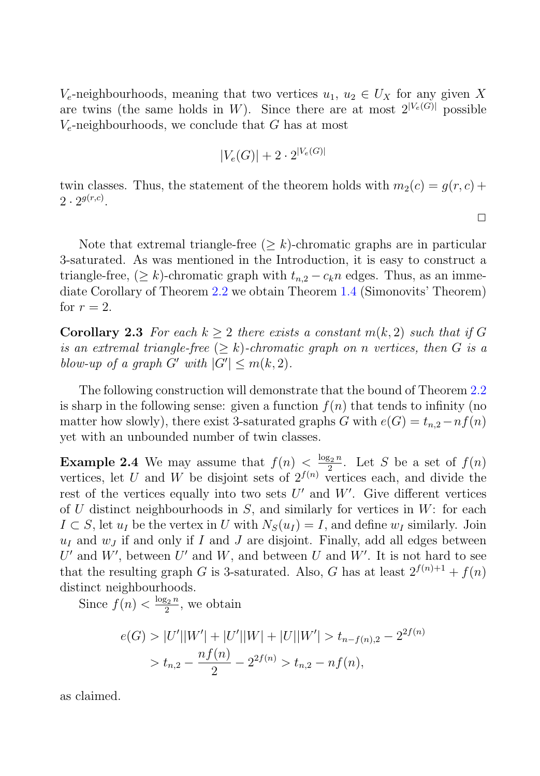V<sub>e</sub>-neighbourhoods, meaning that two vertices  $u_1, u_2 \in U_X$  for any given X are twins (the same holds in W). Since there are at most  $2^{|V_e(G)|}$  possible  $V_e$ -neighbourhoods, we conclude that G has at most

$$
|V_e(G)| + 2 \cdot 2^{|V_e(G)|}
$$

twin classes. Thus, the statement of the theorem holds with  $m_2(c) = q(r, c) +$  $2 \cdot 2^{g(r,c)}$ .

 $\Box$ 

Note that extremal triangle-free  $(\geq k)$ -chromatic graphs are in particular 3-saturated. As was mentioned in the Introduction, it is easy to construct a triangle-free,  $(\geq k)$ -chromatic graph with  $t_{n,2} - c_k n$  edges. Thus, as an immediate Corollary of Theorem 2.2 we obtain Theorem 1.4 (Simonovits' Theorem) for  $r = 2$ .

**Corollary 2.3** For each  $k > 2$  there exists a constant  $m(k, 2)$  such that if G is an extremal triangle-free  $(\geq k)$ -chromatic graph on n vertices, then G is a blow-up of a graph  $G'$  with  $|G'| \le m(k, 2)$ .

The following construction will demonstrate that the bound of Theorem 2.2 is sharp in the following sense: given a function  $f(n)$  that tends to infinity (no matter how slowly), there exist 3-saturated graphs G with  $e(G) = t_{n,2} - nf(n)$ yet with an unbounded number of twin classes.

**Example 2.4** We may assume that  $f(n) < \frac{\log_2 n}{2}$ . Let S be a set of  $f(n)$  vertices let II and W be disjoint sets of  $2^{f(n)}$  vertices each and divide the vertices, let U and W be disjoint sets of  $2^{f(n)}$  vertices each, and divide the rest of the vertices equally into two sets  $U'$  and  $W'$ . Give different vertices rest of the vertices equally into two sets  $U'$  and  $W'$ . Give different vertices<br>of  $U$  distinct neighbourhoods in  $S$  and similarly for vertices in  $W$ ; for each of U distinct neighbourhoods in  $S$ , and similarly for vertices in  $W$ : for each  $I \subset S$ , let  $u_I$  be the vertex in U with  $N_S(u_I) = I$ , and define  $w_I$  similarly. Join  $u_I$  and  $w_J$  if and only if I and J are disjoint. Finally, add all edges between  $U'_{\rm th}$ and W', between U' and W, and between U and W'. It is not hard to see<br>the resulting graph G is 3-seturated. Also G has at least  $2^{f(n)+1} + f(n)$ that the resulting graph G is 3-saturated. Also, G has at least  $2^{f(n)+1} + f(n)$ <br>distinct neighbourhoods distinct neighbourhoods.

Since  $f(n) < \frac{\log_2 n}{2}$ , we obtain

$$
e(G) > |U'||W'| + |U'||W| + |U||W'| > t_{n-f(n),2} - 2^{2f(n)}
$$
  
>  $t_{n,2} - \frac{nf(n)}{2} - 2^{2f(n)} > t_{n,2} - nf(n),$ 

as claimed.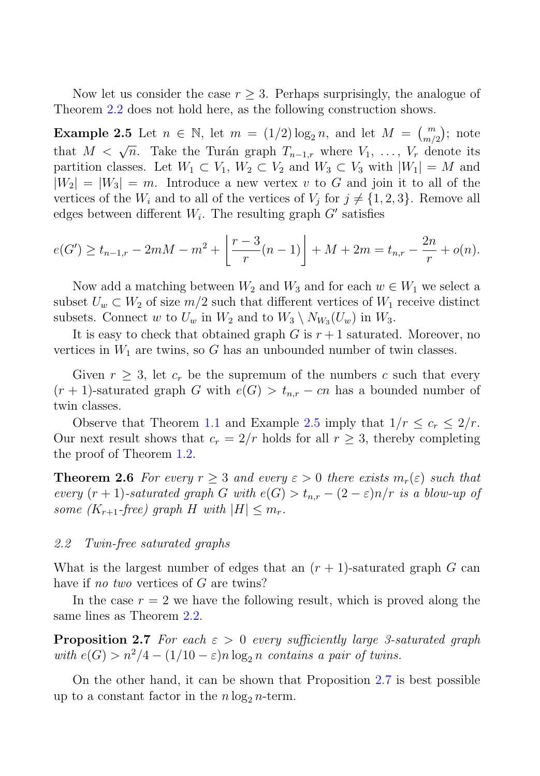Now let us consider the case  $r > 3$ . Perhaps surprisingly, the analogue of Theorem 2.2 does not hold here, as the following construction shows.

**Example 2.5** Let  $n \in \mathbb{N}$ , let  $m = (1/2) \log_2 n$ , and let  $M = \binom{m}{m/2}$ ; note that  $M < \sqrt{n}$ . Take the Turán graph  $T_{n-1,r}$  where  $V_1, \ldots, V_r$  denote its partition classes. Let  $W_1 \subset V_1$ ,  $W_2 \subset V_2$  and  $W_2 \subset V_2$  with  $|W_1| = M$  and partition classes. Let  $W_1 \subset V_1$ ,  $W_2 \subset V_2$  and  $W_3 \subset V_3$  with  $|W_1| = M$  and  $|W_2| = |W_3| = m$ . Introduce a new vertex v to G and join it to all of the vertices of the  $W_i$  and to all of the vertices of  $V_j$  for  $j \neq \{1, 2, 3\}$ . Remove all edges between different  $W_i$ . The resulting graph  $G'$  satisfies

$$
e(G') \ge t_{n-1,r} - 2mM - m^2 + \left\lfloor \frac{r-3}{r}(n-1) \right\rfloor + M + 2m = t_{n,r} - \frac{2n}{r} + o(n).
$$

Now add a matching between  $W_2$  and  $W_3$  and for each  $w \in W_1$  we select a subset  $U_w \subset W_2$  of size  $m/2$  such that different vertices of  $W_1$  receive distinct subsets. Connect w to  $U_w$  in  $W_2$  and to  $W_3 \setminus N_{W_3}(U_w)$  in  $W_3$ .

It is easy to check that obtained graph G is  $r+1$  saturated. Moreover, no vertices in  $W_1$  are twins, so G has an unbounded number of twin classes.

Given  $r \geq 3$ , let  $c_r$  be the supremum of the numbers c such that every  $(r + 1)$ -saturated graph G with  $e(G) > t_{n,r} - cn$  has a bounded number of twin classes.

Observe that Theorem 1.1 and Example 2.5 imply that  $1/r \leq c_r \leq 2/r$ . Our next result shows that  $c_r = 2/r$  holds for all  $r \geq 3$ , thereby completing the proof of Theorem 1.2.

**Theorem 2.6** For every  $r \geq 3$  and every  $\varepsilon > 0$  there exists  $m_r(\varepsilon)$  such that every  $(r + 1)$ -saturated graph G with  $e(G) > t_{n,r} - (2 - \varepsilon)n/r$  is a blow-up of some  $(K_{r+1}$ -free) graph H with  $|H| \leq m_r$ .

#### 2.2 Twin-free saturated graphs

What is the largest number of edges that an  $(r + 1)$ -saturated graph G can have if no two vertices of G are twins?

In the case  $r = 2$  we have the following result, which is proved along the same lines as Theorem 2.2.

**Proposition 2.7** For each  $\varepsilon > 0$  every sufficiently large 3-saturated graph with  $e(G) > n^2/4 - (1/10 - \varepsilon)n \log_2 n$  contains a pair of twins.

On the other hand, it can be shown that Proposition 2.7 is best possible up to a constant factor in the  $n \log_2 n$ -term.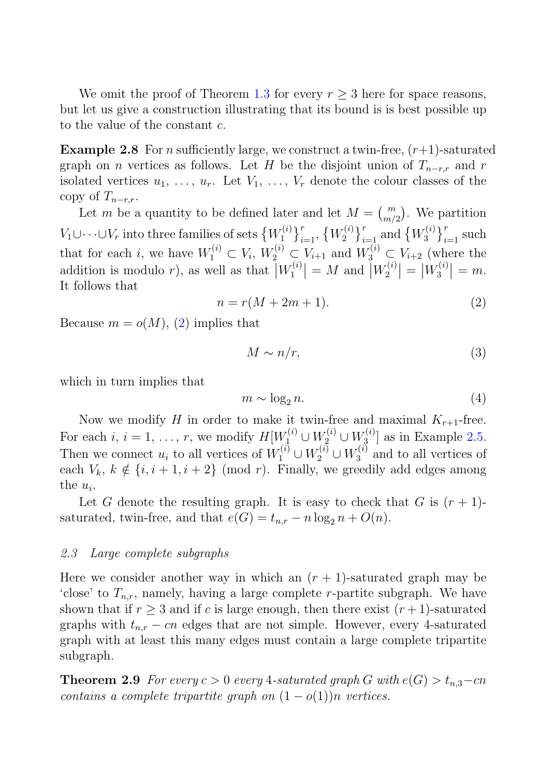We omit the proof of Theorem 1.3 for every  $r > 3$  here for space reasons, but let us give a construction illustrating that its bound is is best possible up to the value of the constant c.

**Example 2.8** For n sufficiently large, we construct a twin-free,  $(r+1)$ -saturated graph on *n* vertices as follows. Let H be the disjoint union of  $T_{n-r,r}$  and r isolated vertices  $u_1, \ldots, u_r$ . Let  $V_1, \ldots, V_r$  denote the colour classes of the copy of  $T_{n-r,r}$ .

Let *m* be a quantity to be defined later and let  $M = {m \choose m/2}$ . We partition  $V_1 \cup \cdots \cup V_r$  into three families of sets  $\{W_1^{(i)}\}_{i=1}^r$ ,  $\{W_2^{(i)}\}_{i=1}^r$  and  $\big\}^{r}_{i=1}, \{W_2^{(i)}\}$  $\int_{i=1}^{r}$  and  $\{W_3^{(i)}\}$  $\}_{i=1}^r$  such that for each i, we have  $W_1^{(i)} \subset V_i$ ,  $W_2^{(i)} \subset V_{i+1}$  and  $W_3^{(i)} \subset V_{i+2}$  (where the eddition is module x), as well as that  $|W_2^{(i)}| = M$  and  $|W_2^{(i)}| = |W_2^{(i)}| = m$ addition is modulo r), as well as that  $|W_1^{(i)}|$ <br>It follows that  $= M$  and  $W_2^{(i)}$  $= |W_3^{(i)}|$  $\vert = m.$ It follows that

$$
n = r(M + 2m + 1). \tag{2}
$$

Because  $m = o(M)$ , (2) implies that

$$
M \sim n/r,\tag{3}
$$

which in turn implies that

$$
m \sim \log_2 n. \tag{4}
$$

Now we modify H in order to make it twin-free and maximal  $K_{r+1}$ -free. Now we modify H in order to make it twin-free and maximal  $K_{r+1}$ -free.<br>
case is  $i = 1$  r we modify  $H[W^{(i)}] + W^{(i)} + W^{(i)}]$  as in Example 2.5 For each  $i, i = 1, \ldots, r$ , we modify  $H[W_1^{(i)} \cup W_2^{(i)} \cup W_3^{(i)}]$  as in Example 2.5.<br>Then we connect  $\omega$  to all vertices of  $W_1^{(i)} \cup W_2^{(i)} \cup W_3^{(i)}$  and to all vertices of Then we connect  $u_i$  to all vertices of  $W_1^{(i)} \cup W_2^{(i)} \cup W_3^{(i)}$  and to all vertices of each  $V_i$ ,  $k \notin \{i, i+1, i+2\}$  (mod r). Finally we greedily add edges among each  $V_k$ ,  $k \notin \{i, i + 1, i + 2\}$  (mod r). Finally, we greedily add edges among the  $u_i$ .

Let G denote the resulting graph. It is easy to check that G is  $(r + 1)$ saturated, twin-free, and that  $e(G) = t_{n,r} - n \log_2 n + O(n)$ .

#### 2.3 Large complete subgraphs

Here we consider another way in which an  $(r + 1)$ -saturated graph may be 'close' to  $T_{n,r}$ , namely, having a large complete *r*-partite subgraph. We have shown that if  $r \geq 3$  and if c is large enough, then there exist  $(r + 1)$ -saturated graphs with  $t_{n,r}$  – cn edges that are not simple. However, every 4-saturated graph with at least this many edges must contain a large complete tripartite subgraph.

**Theorem 2.9** For every  $c > 0$  every 4-saturated graph G with  $e(G) > t_{n,3}-cn$ contains a complete tripartite graph on  $(1 - o(1))n$  vertices.